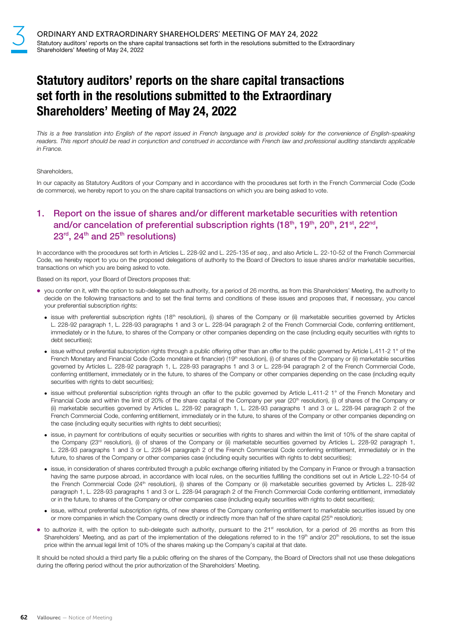# Statutory auditors' reports on the share capital transactions set forth in the resolutions submitted to the Extraordinary Shareholders' Meeting of May 24, 2022

This is a free translation into English of the report issued in French language and is provided solely for the convenience of English-speaking readers. This report should be read in conjunction and construed in accordance with French law and professional auditing standards applicable in France.

#### **Shareholders**

In our capacity as Statutory Auditors of your Company and in accordance with the procedures set forth in the French Commercial Code (Code de commerce), we hereby report to you on the share capital transactions on which you are being asked to vote.

### 1. Report on the issue of shares and/or different marketable securities with retention and/or cancelation of preferential subscription rights (18<sup>th</sup>, 19<sup>th</sup>, 20<sup>th</sup>, 21<sup>st</sup>, 22<sup>nd</sup>,  $23<sup>rd</sup>$ ,  $24<sup>th</sup>$  and  $25<sup>th</sup>$  resolutions)

In accordance with the procedures set forth in Articles L. 228-92 and L. 225-135 et seq., and also Article L. 22-10-52 of the French Commercial Code, we hereby report to you on the proposed delegations of authority to the Board of Directors to issue shares and/or marketable securities, transactions on which you are being asked to vote.

Based on its report, your Board of Directors proposes that:

- you confer on it, with the option to sub-delegate such authority, for a period of 26 months, as from this Shareholders' Meeting, the authority to decide on the following transactions and to set the final terms and conditions of these issues and proposes that, if necessary, you cancel your preferential subscription rights:
	- $\bullet$  issue with preferential subscription rights (18<sup>th</sup> resolution), (i) shares of the Company or (ii) marketable securities governed by Articles L. 228‑92 paragraph 1, L. 228-93 paragraphs 1 and 3 or L. 228-94 paragraph 2 of the French Commercial Code, conferring entitlement, immediately or in the future, to shares of the Company or other companies depending on the case (including equity securities with rights to debt securities);
	- issue without preferential subscription rights through a public offering other than an offer to the public governed by Article L.411-2 1° of the French Monetary and Financial Code (Code monétaire et financier) (19<sup>th</sup> resolution), (i) of shares of the Company or (ii) marketable securities governed by Articles L. 228-92 paragraph 1, L. 228-93 paragraphs 1 and 3 or L. 228-94 paragraph 2 of the French Commercial Code, conferring entitlement, immediately or in the future, to shares of the Company or other companies depending on the case (including equity securities with rights to debt securities):
	- issue without preferential subscription rights through an offer to the public governed by Article L.411-2 1° of the French Monetary and Financial Code and within the limit of 20% of the share capital of the Company per year (20<sup>th</sup> resolution), (i) of shares of the Company or (ii) marketable securities governed by Articles L. 228-92 paragraph 1, L. 228-93 paragraphs 1 and 3 or L. 228-94 paragraph 2 of the French Commercial Code, conferring entitlement, immediately or in the future, to shares of the Company or other companies depending on the case (including equity securities with rights to debt securities);
	- issue, in payment for contributions of equity securities or securities with rights to shares and within the limit of 10% of the share capital of the Company (23<sup>rd</sup> resolution), (i) of shares of the Company or (ii) marketable securities governed by Articles L. 228-92 paragraph 1, L. 228‑93 paragraphs 1 and 3 or L. 228-94 paragraph 2 of the French Commercial Code conferring entitlement, immediately or in the future, to shares of the Company or other companies case (including equity securities with rights to debt securities);
	- issue, in consideration of shares contributed through a public exchange offering initiated by the Company in France or through a transaction having the same purpose abroad, in accordance with local rules, on the securities fulfilling the conditions set out in Article L.22-10-54 of the French Commercial Code (24<sup>th</sup> resolution), (i) shares of the Company or (ii) marketable securities governed by Articles L. 228-92 paragraph 1, L. 228-93 paragraphs 1 and 3 or L. 228-94 paragraph 2 of the French Commercial Code conferring entitlement, immediately or in the future, to shares of the Company or other companies case (including equity securities with rights to debt securities);
	- issue, without preferential subscription rights, of new shares of the Company conferring entitlement to marketable securities issued by one or more companies in which the Company owns directly or indirectly more than half of the share capital (25<sup>th</sup> resolution);
- to authorize it, with the option to sub-delegate such authority, pursuant to the 21<sup>st</sup> resolution, for a period of 26 months as from this Shareholders' Meeting, and as part of the implementation of the delegations referred to in the 19<sup>th</sup> and/or 20<sup>th</sup> resolutions, to set the issue price within the annual legal limit of 10% of the shares making up the Company's capital at that date.

It should be noted should a third party file a public offering on the shares of the Company, the Board of Directors shall not use these delegations during the offering period without the prior authorization of the Shareholders' Meeting.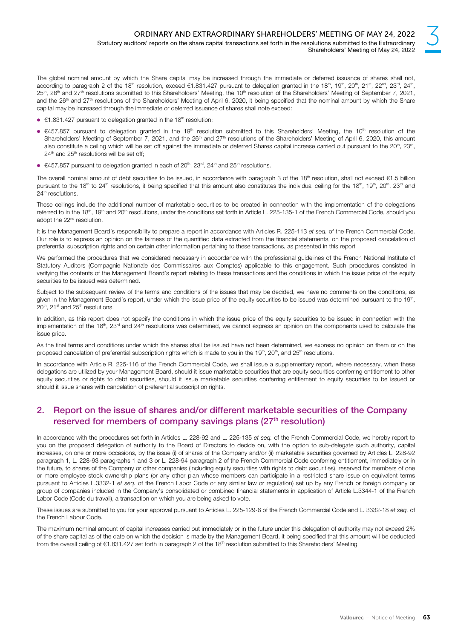The global nominal amount by which the Share capital may be increased through the immediate or deferred issuance of shares shall not, according to paragraph 2 of the 18<sup>th</sup> resolution, exceed €1.831.427 pursuant to delegation granted in the 18<sup>th</sup>, 19<sup>th</sup>, 20<sup>th</sup>, 21<sup>st</sup>, 22<sup>nd</sup>, 23<sup>rd</sup>, 24<sup>th</sup>,  $25^{\text{th}}$ ,  $26^{\text{th}}$  and  $27^{\text{th}}$  resolutions submitted to this Shareholders' Meeting, the 10<sup>th</sup> resolution of the Shareholders' Meeting of September 7, 2021, and the 26<sup>th</sup> and 27<sup>th</sup> resolutions of the Shareholders' Meeting of April 6, 2020, it being specified that the nominal amount by which the Share capital may be increased through the immediate or deferred issuance of shares shall note exceed:

- $\bullet$   $\epsilon$ 1.831.427 pursuant to delegation granted in the 18<sup>th</sup> resolution;
- €457.857 pursuant to delegation granted in the 19<sup>th</sup> resolution submitted to this Shareholders' Meeting, the 10<sup>th</sup> resolution of the Shareholders' Meeting of September 7, 2021, and the 26<sup>th</sup> and 27<sup>th</sup> resolutions of the Shareholders' Meeting of April 6, 2020, this amount also constitute a ceiling which will be set off against the immediate or deferred Shares capital increase carried out pursuant to the 20<sup>th</sup>, 23<sup>rd</sup>, 24<sup>th</sup> and 25<sup>th</sup> resolutions will be set off;
- $€457.857$  pursuant to delegation granted in each of 20<sup>th</sup>, 23<sup>rd</sup>, 24<sup>th</sup> and 25<sup>th</sup> resolutions.

The overall nominal amount of debt securities to be issued, in accordance with paragraph 3 of the 18<sup>th</sup> resolution, shall not exceed €1.5 billion pursuant to the 18<sup>th</sup> to 24<sup>th</sup> resolutions, it being specified that this amount also constitutes the individual ceiling for the 18<sup>th</sup>, 19<sup>th</sup>, 20<sup>th</sup>, 23<sup>rd</sup> and 24<sup>th</sup> resolutions.

These ceilings include the additional number of marketable securities to be created in connection with the implementation of the delegations referred to in the 18<sup>th</sup>, 19<sup>th</sup> and 20<sup>th</sup> resolutions, under the conditions set forth in Article L. 225-135-1 of the French Commercial Code, should you adopt the 22<sup>nd</sup> resolution.

It is the Management Board's responsibility to prepare a report in accordance with Articles R. 225-113 et seq. of the French Commercial Code. Our role is to express an opinion on the fairness of the quantified data extracted from the financial statements, on the proposed cancelation of preferential subscription rights and on certain other information pertaining to these transactions, as presented in this report

We performed the procedures that we considered necessary in accordance with the professional guidelines of the French National Institute of Statutory Auditors (Compagnie Nationale des Commissaires aux Comptes) applicable to this engagement. Such procedures consisted in verifying the contents of the Management Board's report relating to these transactions and the conditions in which the issue price of the equity securities to be issued was determined.

Subject to the subsequent review of the terms and conditions of the issues that may be decided, we have no comments on the conditions, as given in the Management Board's report, under which the issue price of the equity securities to be issued was determined pursuant to the 19<sup>th</sup>,  $20<sup>th</sup>$ , 21 $<sup>st</sup>$  and 25 $<sup>th</sup>$  resolutions.</sup></sup>

In addition, as this report does not specify the conditions in which the issue price of the equity securities to be issued in connection with the implementation of the 18<sup>th</sup>, 23<sup>rd</sup> and 24<sup>th</sup> resolutions was determined, we cannot express an opinion on the components used to calculate the issue price.

As the final terms and conditions under which the shares shall be issued have not been determined, we express no opinion on them or on the proposed cancelation of preferential subscription rights which is made to you in the 19<sup>th</sup>, 20<sup>th</sup>, and 25<sup>th</sup> resolutions.

In accordance with Article R. 225-116 of the French Commercial Code, we shall issue a supplementary report, where necessary, when these delegations are utilized by your Management Board, should it issue marketable securities that are equity securities conferring entitlement to other equity securities or rights to debt securities, should it issue marketable securities conferring entitlement to equity securities to be issued or should it issue shares with cancelation of preferential subscription rights.

#### 2. Report on the issue of shares and/or different marketable securities of the Company reserved for members of company savings plans (27<sup>th</sup> resolution)

In accordance with the procedures set forth in Articles L. 228-92 and L. 225-135 et seq. of the French Commercial Code, we hereby report to you on the proposed delegation of authority to the Board of Directors to decide on, with the option to sub-delegate such authority, capital increases, on one or more occasions, by the issue (i) of shares of the Company and/or (ii) marketable securities governed by Articles L. 228-92 paragraph 1, L. 228-93 paragraphs 1 and 3 or L. 228-94 paragraph 2 of the French Commercial Code conferring entitlement, immediately or in the future, to shares of the Company or other companies (including equity securities with rights to debt securities), reserved for members of one or more employee stock ownership plans (or any other plan whose members can participate in a restricted share issue on equivalent terms pursuant to Articles L.3332-1 et seq. of the French Labor Code or any similar law or regulation) set up by any French or foreign company or group of companies included in the Company's consolidated or combined financial statements in application of Article L.3344-1 of the French Labor Code (Code du travail), a transaction on which you are being asked to vote.

These issues are submitted to you for your approval pursuant to Articles L. 225-129-6 of the French Commercial Code and L. 3332-18 et seq. of the French Labour Code.

The maximum nominal amount of capital increases carried out immediately or in the future under this delegation of authority may not exceed 2% of the share capital as of the date on which the decision is made by the Management Board, it being specified that this amount will be deducted from the overall ceiling of €1.831.427 set forth in paragraph 2 of the 18<sup>th</sup> resolution submitted to this Shareholders' Meeting

3